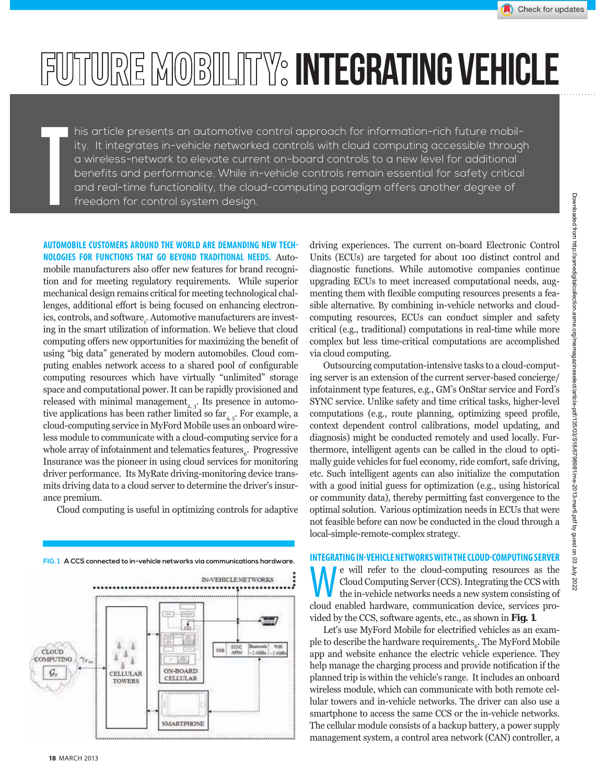Check for updates

# FUTURE MOBILITY: INTEGRATING VEHICLE

T his article presents an automotive control approach for information-rich future mobility. It integrates in-vehicle networked controls with cloud computing accessible through a wireless-network to elevate current on-board controls to a new level for additional benefits and performance. While in-vehicle controls remain essential for safety critical and real-time functionality, the cloud-computing paradigm offers another degree of freedom for control system design.

**AUTOMOBILE CUSTOMERS AROUND THE WORLD ARE DEMANDING NEW TECH-NOLOGIES FOR FUNCTIONS THAT GO BEYOND TRADITIONAL NEEDS.** Automobile manufacturers also offer new features for brand recognition and for meeting regulatory requirements. While superior mechanical design remains critical for meeting technological challenges, additional effort is being focused on enhancing electronics, controls, and software,. Automotive manufacturers are investing in the smart utilization of information. We believe that cloud computing offers new opportunities for maximizing the benefit of using "big data" generated by modern automobiles. Cloud computing enables network access to a shared pool of configurable computing resources which have virtually "unlimited" storage space and computational power. It can be rapidly provisioned and released with minimal management<sub>2, 3</sub>. Its presence in automotive applications has been rather limited so  $far_{4.5}$ . For example, a cloud-computing service in MyFord Mobile uses an onboard wireless module to communicate with a cloud-computing service for a whole array of infotainment and telematics features $_6$ . Progressive Insurance was the pioneer in using cloud services for monitoring driver performance. Its MyRate driving-monitoring device transmits driving data to a cloud server to determine the driver's insurance premium.

Cloud computing is useful in optimizing controls for adaptive

**FIG. 1 A CCS connected to in-vehicle networks via communications hardware. IN-VEHICLE NETWORKS**  $[36]$ f USB SYNC CLOUD Δ Ă COMPUTING  $\gamma_{r_n}$  $\Lambda$ ON-BOARD CELLULAR **CELLULAR TOWERS** 

driving experiences. The current on-board Electronic Control Units (ECUs) are targeted for about 100 distinct control and diagnostic functions. While automotive companies continue upgrading ECUs to meet increased computational needs, augmenting them with flexible computing resources presents a feasible alternative. By combining in-vehicle networks and cloudcomputing resources, ECUs can conduct simpler and safety critical (e.g., traditional) computations in real-time while more complex but less time-critical computations are accomplished via cloud computing.

Outsourcing computation-intensive tasks to a cloud-computing server is an extension of the current server-based concierge/ infotainment type features, e.g., GM's OnStar service and Ford's SYNC service. Unlike safety and time critical tasks, higher-level computations (e.g., route planning, optimizing speed profile, context dependent control calibrations, model updating, and diagnosis) might be conducted remotely and used locally. Furthermore, intelligent agents can be called in the cloud to optimally guide vehicles for fuel economy, ride comfort, safe driving, etc. Such intelligent agents can also initialize the computation with a good initial guess for optimization (e.g., using historical or community data), thereby permitting fast convergence to the optimal solution. Various optimization needs in ECUs that were not feasible before can now be conducted in the cloud through a local-simple-remote-complex strategy.

**INTEGRATING IN-VEHICLE NETWORKS WITH THE CLOUD-COMPUTING SERVER** We will refer to the cloud-computing resources as the Cloud Computing Server (CCS). Integrating the CCS with the in-vehicle networks needs a new system consisting of aloud anabled bardware, communication during corriers ar Cloud Computing Server (CCS). Integrating the CCS with cloud enabled hardware, communication device, services provided by the CCS, software agents, etc., as shown in **Fig. 1**.

Let's use MyFord Mobile for electrified vehicles as an example to describe the hardware requirements $_{\rm 6}$ . The MyFord Mobile app and website enhance the electric vehicle experience. They help manage the charging process and provide notification if the planned trip is within the vehicle's range. It includes an onboard wireless module, which can communicate with both remote cellular towers and in-vehicle networks. The driver can also use a smartphone to access the same CCS or the in-vehicle networks. The cellular module consists of a backup battery, a power supply management system, a control area network (CAN) controller, a

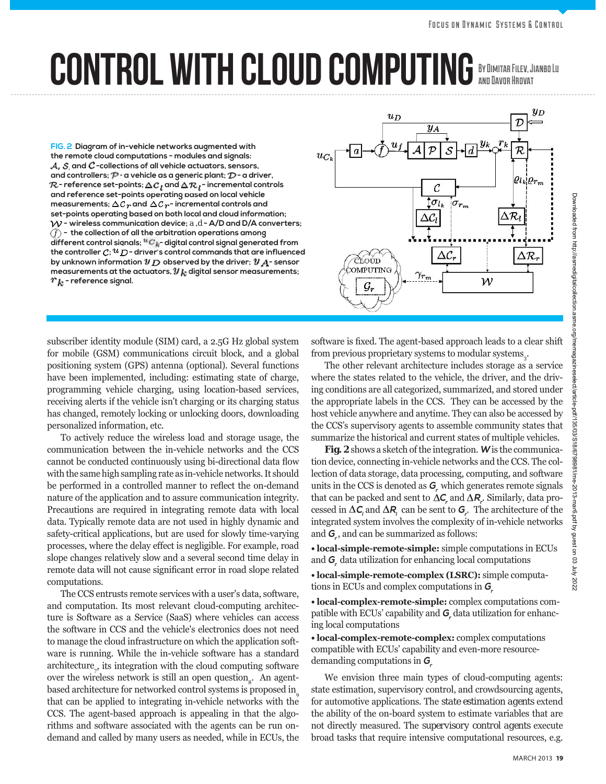## CONTROL WITH CLOUD COMPUTING By Dimitar Filev, Jianbo Lu and Davor Hrovat

**FIG. 2 Diagram of in-vehicle networks augmented with the remote cloud computations - modules and signals:**   $A$ ,  $S$ , and  $C$  -collections of all vehicle actuators, sensors, and controllers;  $\mathcal{P}$  - a vehicle as a generic plant;  $\mathcal{D}$  - a driver,  $\mathcal{R}$  - reference set-points;  $\Delta {\cal C}_l$  and  $\Delta {\cal R}_l$  - incremental controls **and reference set-points operating based on local vehicle**  measurements;  $\Delta \mathcal{C}_{T}$  and  $\Delta \mathcal{C}_{T}$ - incremental controls and **set-points operating based on both local and cloud information; - wireless communication device;** *a* **,***d* **- A/D and D/A converters; - the collection of all the arbitration operations among**  different control signals; <sup>u</sup>C<sub>k</sub>-digital control signal generated from the controller  $c; u_D$  - driver's control commands that are influenced by unknown information  $y_D$  observed by the driver;  $y_A$ -sensor measurements at the actuators,  $y_k$  digital sensor measurements;  $r_k$  - reference signal.



subscriber identity module (SIM) card, a 2.5G Hz global system for mobile (GSM) communications circuit block, and a global positioning system (GPS) antenna (optional). Several functions have been implemented, including: estimating state of charge, programming vehicle charging, using location-based services, receiving alerts if the vehicle isn't charging or its charging status has changed, remotely locking or unlocking doors, downloading personalized information, etc.

To actively reduce the wireless load and storage usage, the communication between the in-vehicle networks and the CCS cannot be conducted continuously using bi-directional data flow with the same high sampling rate as in-vehicle networks. It should be performed in a controlled manner to reflect the on-demand nature of the application and to assure communication integrity. Precautions are required in integrating remote data with local data. Typically remote data are not used in highly dynamic and safety-critical applications, but are used for slowly time-varying processes, where the delay effect is negligible. For example, road slope changes relatively slow and a several second time delay in remote data will not cause significant error in road slope related computations.

The CCS entrusts remote services with a user's data, software, and computation. Its most relevant cloud-computing architecture is Software as a Service (SaaS) where vehicles can access the software in CCS and the vehicle's electronics does not need to manage the cloud infrastructure on which the application software is running. While the in-vehicle software has a standard architecture<sub>z</sub>, its integration with the cloud computing software over the wireless network is still an open question<sub>o</sub>. An agentbased architecture for networked control systems is proposed in that can be applied to integrating in-vehicle networks with the CCS. The agent-based approach is appealing in that the algorithms and software associated with the agents can be run ondemand and called by many users as needed, while in ECUs, the

software is fixed. The agent-based approach leads to a clear shift from previous proprietary systems to modular systems $_3$ .

The other relevant architecture includes storage as a service where the states related to the vehicle, the driver, and the driving conditions are all categorized, summarized, and stored under the appropriate labels in the CCS. They can be accessed by the host vehicle anywhere and anytime. They can also be accessed by the CCS's supervisory agents to assemble community states that summarize the historical and current states of multiple vehicles.

**Fig. 2** shows a sketch of the integration. **W** is the communication device, connecting in-vehicle networks and the CCS. The collection of data storage, data processing, computing, and software units in the CCS is denoted as **G<sup>r</sup>** which generates remote signals that can be packed and sent to  $\Delta C$  and  $\Delta R$  . Similarly, data processed in  $\Delta C$  and  $\Delta R$  can be sent to  $G$ . The architecture of the integrated system involves the complexity of in-vehicle networks and **G<sup>r</sup>** , and can be summarized as follows:

• local-simple-remote-simple: simple computations in ECUs and **G<sup>r</sup>** data utilization for enhancing local computations

 $\bullet$  local-simple-remote-complex (LSRC): simple computations in ECUs and complex computations in **G<sup>r</sup>**

 $\bullet$  **local-complex-remote-simple:** complex computations compatible with ECUs' capability and **G<sup>r</sup>** data utilization for enhancing local computations

• local-complex-remote-complex: complex computations compatible with ECUs' capability and even-more resourcedemanding computations in **G<sup>r</sup>**

We envision three main types of cloud-computing agents: state estimation, supervisory control, and crowdsourcing agents, for automotive applications. The *state estimation agents* extend the ability of the on-board system to estimate variables that are not directly measured. The *supervisory control agents* execute broad tasks that require intensive computational resources, e.g.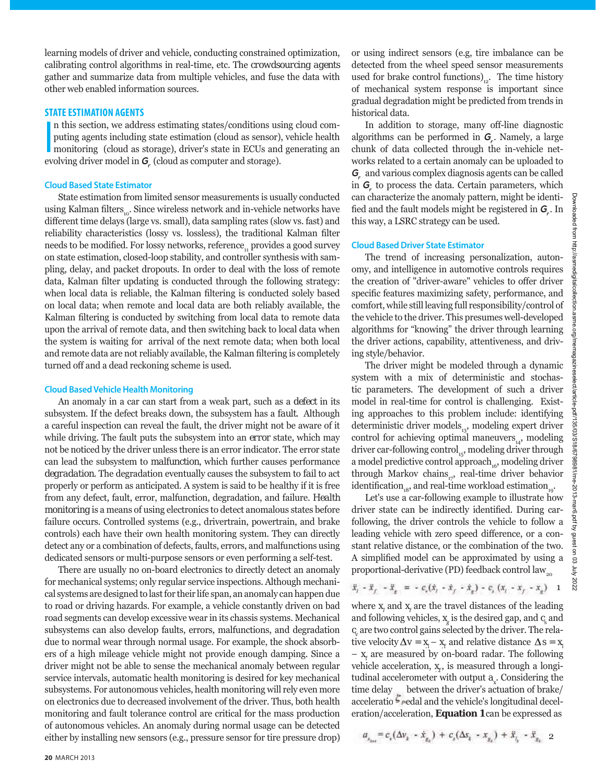learning models of driver and vehicle, conducting constrained optimization, calibrating control algorithms in real-time, etc. The *crowdsourcing agents* gather and summarize data from multiple vehicles, and fuse the data with other web enabled information sources.

#### **STATE ESTIMATION AGENTS**

**I** n this section, we address estimating states/conditions using cloud computing agents including state estimation (cloud as sensor), vehicle health monitoring (cloud as storage), driver's state in ECUs and generating an evolving driver model in **G<sup>r</sup>** (cloud as computer and storage).

#### **Cloud Based State Estimator**

State estimation from limited sensor measurements is usually conducted using Kalman filters<sub>10</sub>. Since wireless network and in-vehicle networks have different time delays (large vs. small), data sampling rates (slow vs. fast) and reliability characteristics (lossy vs. lossless), the traditional Kalman filter needs to be modified. For lossy networks, reference<sub>tre</sub> provides a good survey on state estimation, closed-loop stability, and controller synthesis with sampling, delay, and packet dropouts. In order to deal with the loss of remote data, Kalman filter updating is conducted through the following strategy: when local data is reliable, the Kalman filtering is conducted solely based on local data; when remote and local data are both reliably available, the Kalman filtering is conducted by switching from local data to remote data upon the arrival of remote data, and then switching back to local data when the system is waiting for arrival of the next remote data; when both local and remote data are not reliably available, the Kalman filtering is completely turned off and a dead reckoning scheme is used.

#### **Cloud Based Vehicle Health Monitoring**

An anomaly in a car can start from a weak part, such as a *defect* in its subsystem. If the defect breaks down, the subsystem has a *fault*. Although a careful inspection can reveal the fault, the driver might not be aware of it while driving. The fault puts the subsystem into an *error* state, which may not be noticed by the driver unless there is an error indicator. The error state can lead the subsystem to *malfunction*, which further causes performance *degradation*. The degradation eventually causes the subsystem to *fail* to act properly or perform as anticipated. A system is said to be healthy if it is free from any defect, fault, error, malfunction, degradation, and failure. *Health monitoring* is a means of using electronics to detect anomalous states before failure occurs. Controlled systems (e.g., drivertrain, powertrain, and brake controls) each have their own health monitoring system. They can directly detect any or a combination of defects, faults, errors, and malfunctions using dedicated sensors or multi-purpose sensors or even performing a self-test.

There are usually no on-board electronics to directly detect an anomaly for mechanical systems; only regular service inspections. Although mechanical systems are designed to last for their life span, an anomaly can happen due to road or driving hazards. For example, a vehicle constantly driven on bad road segments can develop excessive wear in its chassis systems. Mechanical subsystems can also develop faults, errors, malfunctions, and degradation due to normal wear through normal usage. For example, the shock absorbers of a high mileage vehicle might not provide enough damping. Since a driver might not be able to sense the mechanical anomaly between regular service intervals, automatic health monitoring is desired for key mechanical subsystems. For autonomous vehicles, health monitoring will rely even more on electronics due to decreased involvement of the driver. Thus, both health monitoring and fault tolerance control are critical for the mass production of autonomous vehicles. An anomaly during normal usage can be detected either by installing new sensors (e.g., pressure sensor for tire pressure drop) or using indirect sensors (e.g, tire imbalance can be detected from the wheel speed sensor measurements used for brake control functions) $\alpha$ . The time history of mechanical system response is important since gradual degradation might be predicted from trends in historical data.

In addition to storage, many off-line diagnostic algorithms can be performed in **G<sup>r</sup>** . Namely, a large chunk of data collected through the in-vehicle networks related to a certain anomaly can be uploaded to **Gr** and various complex diagnosis agents can be called in **G<sup>r</sup>** to process the data. Certain parameters, which can characterize the anomaly pattern, might be identi fied and the fault models might be registered in  $G_r$ . In this way, a LSRC strategy can be used.

#### **Cloud Based Driver State Estimator**

The trend of increasing personalization, autonomy, and intelligence in automotive controls requires the creation of "driver-aware" vehicles to offer driver specific features maximizing safety, performance, and comfort, while still leaving full responsibility/control of the vehicle to the driver. This presumes well-developed algorithms for "knowing" the driver through learning the driver actions, capability, attentiveness, and driving style/behavior.

The driver might be modeled through a dynamic system with a mix of deterministic and stochastic parameters. The development of such a driver model in real-time for control is challenging. Existing approaches to this problem include: identifying deterministic driver models $_{13}$ , modeling expert driver control for achieving optimal maneuvers $_{14}$ , modeling driver car-following control $_{15}$ , modeling driver through a model predictive control approach, $6$ , modeling driver through Markov chains $_{17}$ , real-time driver behavior identification<sub>18</sub>, and real-time workload estimation<sub>10</sub>.

Let's use a car-following example to illustrate how driver state can be indirectly identified. During carfollowing, the driver controls the vehicle to follow a leading vehicle with zero speed difference, or a constant relative distance, or the combination of the two. A simplified model can be approximated by using a proportional-derivative (PD) feedback control  $\text{law}_{_{20}}$ 

$$
\ddot{x}_i - \ddot{x}_f - \ddot{x}_g = -c_r(\dot{x}_i - \dot{x}_f - \dot{x}_g) - c_s(x_i - x_f - x_g) - 1
$$

where  $x_i$  and  $x_j$  are the travel distances of the leading and following vehicles,  $x_g$  is the desired gap, and  $c_s$  and  $c_{\nu}$  are two control gains selected by the driver. The relative velocity  $\Delta v = x_i - x_i$  and relative distance  $\Delta s = x_i$  $- x_f$  are measured by on-board radar. The following vehicle acceleration,  $x<sub>f</sub>$ , is measured through a longitudinal accelerometer with output  $a_{x}$ . Considering the time delay between the driver's actuation of brake/ acceleratio<sup> $\mathsf{F}_{\mathsf{P}}$ </sup>edal and the vehicle's longitudinal deceleration/acceleration, **Equation 1** can be expressed as

$$
a_{x_{k+1}} = c_{\nu} (\Delta v_k - \dot{x}_{g_k}) + c_{\nu} (\Delta s_k - x_{g_k}) + \ddot{x}_{f_k} - \ddot{x}_{g_k} \quad 2
$$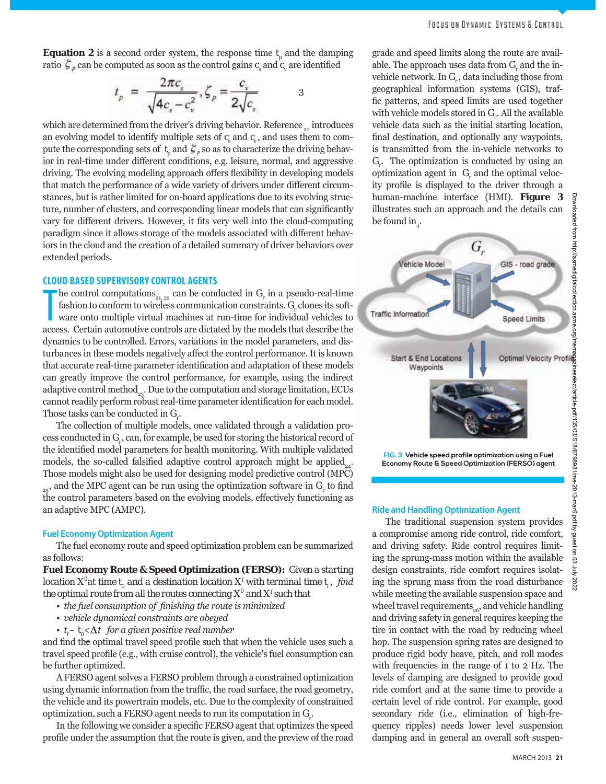**Equation 2** is a second order system, the response time  $t_p$  and the damping ratio  $\mathcal{L}_p$  can be computed as soon as the control gains  $c_s$  and  $c_v$  are identified

$$
t_p = \frac{2\pi c_s}{\sqrt{4c_s - c_v^2}}, \zeta_p = \frac{c_v}{2\sqrt{c_s}}
$$

which are determined from the driver's driving behavior. Reference  $\delta$  introduces an evolving model to identify multiple sets of  $c<sub>s</sub>$  and  $c<sub>v</sub>$ , and uses them to compute the corresponding sets of  $t_{\rho}$  and  $\zeta_{\rho}$  so as to characterize the driving behavior in real-time under different conditions, e.g. leisure, normal, and aggressive driving. The evolving modeling approach offers flexibility in developing models that match the performance of a wide variety of drivers under different circumstances, but is rather limited for on-board applications due to its evolving structure, number of clusters, and corresponding linear models that can significantly vary for different drivers. However, it fits very well into the cloud-computing paradigm since it allows storage of the models associated with different behaviors in the cloud and the creation of a detailed summary of driver behaviors over extended periods.

#### **CLOUD BASED SUPERVISORY CONTROL AGENTS**

The control computations<sub>21, 22</sub> can be conducted in  $G_r$  in a pseudo-real-time fashion to conform to wireless communication constraints.  $G_r$  clones its software onto multiple virtual machines at run-time for individual he control computations<sub>21, 22</sub> can be conducted in  $G_r$  in a pseudo-real-time fashion to conform to wireless communication constraints.  $G_r$  clones its software onto multiple virtual machines at run-time for individual vehicles to dynamics to be controlled. Errors, variations in the model parameters, and disturbances in these models negatively affect the control performance. It is known that accurate real-time parameter identification and adaptation of these models can greatly improve the control performance, for example, using the indirect adaptive control method<sub>33</sub>. Due to the computation and storage limitation, ECUs cannot readily perform robust real-time parameter identification for each model. Those tasks can be conducted in *Gr* .

The collection of multiple models, once validated through a validation process conducted in *Gr* , can, for example, be used for storing the historical record of the identified model parameters for health monitoring. With multiple validated models, the so-called falsified adaptive control approach might be applied<sub>24</sub>. Those models might also be used for designing model predictive control (MPC)  $_{25}$ , and the MPC agent can be run using the optimization software in  $G_r$  to find the control parameters based on the evolving models, effectively functioning as an adaptive MPC (AMPC).

#### **Fuel Economy Optimization Agent**

The fuel economy route and speed optimization problem can be summarized as follows:

**Fuel Economy Route & Speed Optimization (FERSO):** *Given a starting location*  $X^0$ *at time t<sub>o</sub> and a destination location*  $X^f$  *with terminal time t<sub>i</sub>, find the optimal route from all the routes connecting X<sup>0</sup> and Xf such that*

- *the fuel consumption of finishing the route is minimized*
- *vehicle dynamical constraints are obeyed*
- $t_f t_o < \Delta t$  for a given positive real number

and find the optimal travel speed profile such that when the vehicle uses such a travel speed profile (e.g., with cruise control), the vehicle's fuel consumption can be further optimized.

A FERSO agent solves a FERSO problem through a constrained optimization using dynamic information from the traffic, the road surface, the road geometry, the vehicle and its powertrain models, etc. Due to the complexity of constrained optimization, such a FERSO agent needs to run its computation in *Gr* .

In the following we consider a specific FERSO agent that optimizes the speed profile under the assumption that the route is given, and the preview of the road grade and speed limits along the route are available. The approach uses data from  $G_r$  and the invehicle network. In  $G<sub>r</sub>$ , data including those from geographical information systems (GIS), traf fic patterns, and speed limits are used together with vehicle models stored in  $G_r$ . All the available vehicle data such as the initial starting location, final destination, and optionally any waypoints, is transmitted from the in-vehicle networks to *Gr* . The optimization is conducted by using an optimization agent in  $G_r$  and the optimal velocity profile is displayed to the driver through a human-machine interface (HMI). **Figure 3** illustrates such an approach and the details can be found  $\text{in}_{\scriptscriptstyle{4}}$ .



**FIG. 3 Vehicle speed profile optimization using a Fuel Economy Route & Speed Optimization (FERSO) agent**

The traditional suspension system provides a compromise among ride control, ride comfort, and driving safety. Ride control requires limiting the sprung-mass motion within the available design constraints, ride comfort requires isolating the sprung mass from the road disturbance while meeting the available suspension space and wheel travel requirements  $_{\mathrm{26}}$  and vehicle handling and driving safety in general requires keeping the tire in contact with the road by reducing wheel hop. The suspension spring rates are designed to produce rigid body heave, pitch, and roll modes with frequencies in the range of 1 to 2 Hz. The levels of damping are designed to provide good ride comfort and at the same time to provide a certain level of ride control. For example, good secondary ride (i.e., elimination of high-frequency ripples) needs lower level suspension damping and in general an overall soft suspen-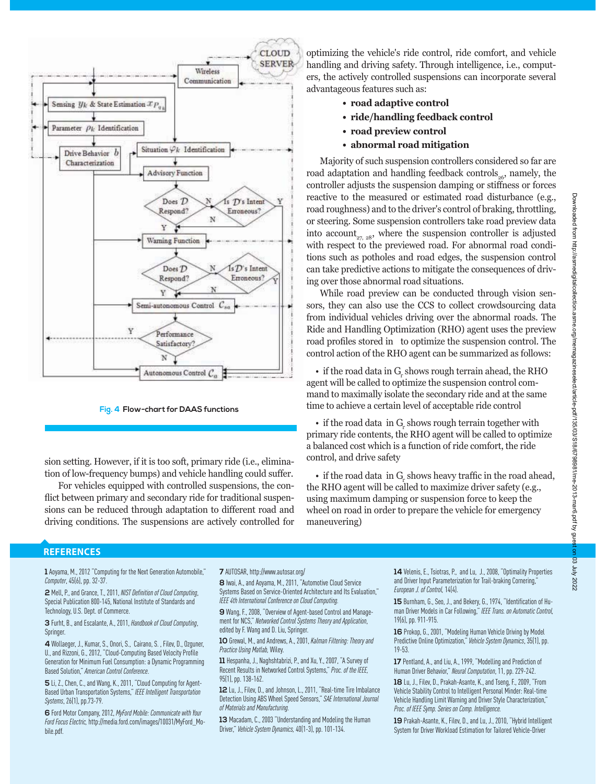

**Fig. 4 Flow-chart for DAAS functions**

sion setting. However, if it is too soft, primary ride (i.e., elimination of low-frequency bumps) and vehicle handling could suffer.

For vehicles equipped with controlled suspensions, the conflict between primary and secondary ride for traditional suspensions can be reduced through adaptation to different road and driving conditions. The suspensions are actively controlled for

optimizing the vehicle's ride control, ride comfort, and vehicle handling and driving safety. Through intelligence, i.e., computers, the actively controlled suspensions can incorporate several advantageous features such as:

- **road adaptive control**
- **ride/handling feedback control**
- **road preview control**
- **abnormal road mitigation**

Majority of such suspension controllers considered so far are road adaptation and handling feedback controls<sub> $66$ </sub>, namely, the controller adjusts the suspension damping or stiffness or forces reactive to the measured or estimated road disturbance (e.g., road roughness) and to the driver's control of braking, throttling, or steering. Some suspension controllers take road preview data into account<sub>27, 28</sub>, where the suspension controller is adjusted with respect to the previewed road. For abnormal road conditions such as potholes and road edges, the suspension control can take predictive actions to mitigate the consequences of driving over those abnormal road situations.

While road preview can be conducted through vision sensors, they can also use the CCS to collect crowdsourcing data from individual vehicles driving over the abnormal roads. The Ride and Handling Optimization (RHO) agent uses the preview road profiles stored in to optimize the suspension control. The control action of the RHO agent can be summarized as follows:

• if the road data in  $G_r$  shows rough terrain ahead, the RHO agent will be called to optimize the suspension control command to maximally isolate the secondary ride and at the same time to achieve a certain level of acceptable ride control

• if the road data in  $G_r$  shows rough terrain together with primary ride contents, the RHO agent will be called to optimize a balanced cost which is a function of ride comfort, the ride control, and drive safety

 $\cdot$  if the road data in  $G_r$  shows heavy traffic in the road ahead, the RHO agent will be called to maximize driver safety (e.g., using maximum damping or suspension force to keep the wheel on road in order to prepare the vehicle for emergency maneuvering)

#### **REFERENCES**

**1** Aoyama, M., 2012 "Computing for the Next Generation Automobile," *Computer*, 45(6), pp. 32-37.

**2** Mell, P., and Grance, T., 2011, *NISTDefinition of Cloud Computing*, Special Publication 800-145, National Institute of Standards and Technology, U.S. Dept. of Commerce.

**3** Furht, B., and Escalante, A., 2011, *Handbook of Cloud Computing*, Springer.

**4** Wollaeger, J., Kumar, S., Onori, S., Cairano, S. , Filev, D., Ozguner, U., and Rizzoni, G., 2012, "Cloud-Computing Based Velocity Profile Generation for Minimum Fuel Consumption: a Dynamic Programming Based Solution," *American Control Conference*.

**5** Li, Z., Chen, C., and Wang, K., 2011, "Cloud Computing for Agent-Based Urban Transportation Systems," *IEEE Intelligent Transportation Systems*, 26(1), pp.73-79.

**6** Ford Motor Company, 2012, *MyFord Mobile: Communicate with Your Ford Focus Electric,* http://media.ford.com/images/10031/MyFord\_Mobile.pdf.

**7** AUTOSAR, http://www.autosar.org/

**8** Iwai, A., and Aoyama, M., 2011, "Automotive Cloud Service Systems Based on Service-Oriented Architecture and Its Evaluation," *IEEE 4th International Conference on Cloud Computing.*

**9** Wang, F., 2008, "Overview of Agent-based Control and Management for NCS," *Networked Control Systems Theory and Application*, edited by F. Wang and D. Liu, Springer.

**10** Grewal, M., and Andrews, A., 2001, *Kalman Filtering: Theory and Practice Using Matlab,* Wiley.

**11** Hespanha, J., Naghshtabrizi, P., and Xu, Y., 2007, "A Survey of Recent Results in Networked Control Systems," *Proc. of the IEEE,* 95(1), pp. 138-162.

**12** Lu, J., Filev, D., and Johnson, L., 2011, "Real-time Tire Imbalance Detection Using ABS Wheel Speed Sensors," *SAE International Journal of Materials and Manufacturing.*

**13** Macadam, C., 2003 "Understanding and Modeling the Human Driver," *Vehicle System Dynamics,* 40(1-3), pp. 101-134.

14 Velenis, E., Tsiotras, P., and Lu, J., 2008, "Optimality Properties and Driver Input Parameterization for Trail-braking Cornering," *European J. of Control,* 14(4).

**15** Burnham, G., Seo, J., and Bekery, G., 1974, "Identification of Human Driver Models in Car Following," *IEEE Trans. on Automatic Control,* 19(6), pp. 911-915.

**16** Prokop, G., 2001, "Modeling Human Vehicle Driving by Model Predictive Online Optimization," *Vehicle System Dynamics*, 35(1), pp. 19-53.

**17** Pentland, A., and Liu, A., 1999, "Modelling and Prediction of Human Driver Behavior," *Neural Computation*, 11, pp. 229-242. **18** Lu, J., Filev, D., Prakah-Asante, K., and Tseng, F., 2009, "From Vehicle Stability Control to Intelligent Personal Minder: Real-time Vehicle Handling Limit Warning and Driver Style Characterization," *Proc. of IEEE Symp. Series on Comp. Intelligence.*

**19** Prakah-Asante, K., Filev, D., and Lu, J., 2010, "Hybrid Intelligent System for Driver Workload Estimation for Tailored Vehicle-Driver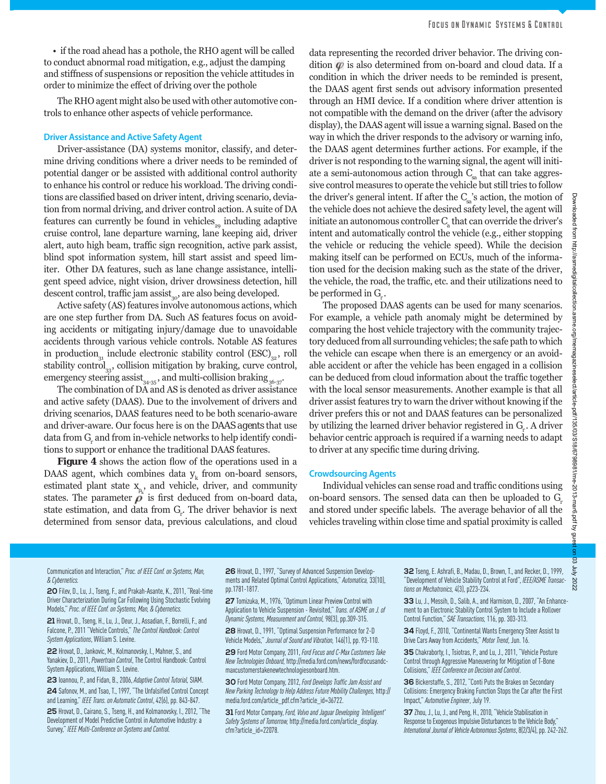The RHO agent might also be used with other automotive controls to enhance other aspects of vehicle performance.

#### **Driver Assistance and Active Safety Agent**

Driver-assistance (DA) systems monitor, classify, and determine driving conditions where a driver needs to be reminded of potential danger or be assisted with additional control authority to enhance his control or reduce his workload. The driving conditions are classified based on driver intent, driving scenario, deviation from normal driving, and driver control action. A suite of DA features can currently be found in vehicles<sub>20</sub> including adaptive cruise control, lane departure warning, lane keeping aid, driver alert, auto high beam, traffic sign recognition, active park assist, blind spot information system, hill start assist and speed limiter. Other DA features, such as lane change assistance, intelligent speed advice, night vision, driver drowsiness detection, hill descent control, traffic jam assist $_{30}$ , are also being developed.

Active safety (AS) features involve autonomous actions, which are one step further from DA. Such AS features focus on avoiding accidents or mitigating injury/damage due to unavoidable accidents through various vehicle controls. Notable AS features in production<sub>31</sub> include electronic stability control (ESC)<sub>32</sub>, roll stability control $_{33}$ , collision mitigation by braking, curve control, emergency steering assist<sub>34-35</sub>, and multi-collision braking <sub>36-37</sub>.

The combination of DA and AS is denoted as driver assistance and active safety (DAAS). Due to the involvement of drivers and driving scenarios, DAAS features need to be both scenario-aware and driver-aware. Our focus here is on the *DAAS agents* that use data from  $G_{\!\scriptscriptstyle\mu}$  and from in-vehicle networks to help identify conditions to support or enhance the traditional DAAS features.

**Figure 4** shows the action flow of the operations used in a DAAS agent, which combines data  $y_k$  from on-board sensors, estimated plant state  $x_{p_k}$ , and vehicle, driver, and community states. The parameter  $\rho$  is first deduced from on-board data, state estimation, and data from  $G_r$ . The driver behavior is next determined from sensor data, previous calculations, and cloud

data representing the recorded driver behavior. The driving condition  $\varphi$  is also determined from on-board and cloud data. If a condition in which the driver needs to be reminded is present, the DAAS agent first sends out advisory information presented through an HMI device. If a condition where driver attention is not compatible with the demand on the driver (after the advisory display), the DAAS agent will issue a warning signal. Based on the way in which the driver responds to the advisory or warning info, the DAAS agent determines further actions. For example, if the driver is not responding to the warning signal, the agent will initiate a semi-autonomous action through  $C_{\alpha}$  that can take aggressive control measures to operate the vehicle but still tries to follow the driver's general intent. If after the  $C_{s}$ 's action, the motion of the vehicle does not achieve the desired safety level, the agent will initiate an autonomous controller  $C_a$  that can override the driver's intent and automatically control the vehicle (e.g., either stopping the vehicle or reducing the vehicle speed). While the decision making itself can be performed on ECUs, much of the information used for the decision making such as the state of the driver, the vehicle, the road, the traffic, etc. and their utilizations need to be performed in  $G<sub>r</sub>$ .

The proposed DAAS agents can be used for many scenarios. For example, a vehicle path anomaly might be determined by comparing the host vehicle trajectory with the community trajectory deduced from all surrounding vehicles; the safe path to which the vehicle can escape when there is an emergency or an avoidable accident or after the vehicle has been engaged in a collision can be deduced from cloud information about the traffic together with the local sensor measurements. Another example is that all driver assist features try to warn the driver without knowing if the driver prefers this or not and DAAS features can be personalized by utilizing the learned driver behavior registered in *G<sub>r</sub>*. A driver behavior centric approach is required if a warning needs to adapt to driver at any specific time during driving.

#### **Crowdsourcing Agents**

Individual vehicles can sense road and traffic conditions using on-board sensors. The sensed data can then be uploaded to *G* and stored under specific labels. The average behavior of all the vehicles traveling within close time and spatial proximity is called

Downloaded from http://asmedigitalcollection.asme.org/memagazineselect/article-pdf/135/03/S18/6798981/me-2013-mar6.pdf by guest on 03 July 2022et/article-pdf/135/03/S18/6798981/me-2013-mar6.pdf by gu  $\overline{S}$ July 202:

Downloaded from

redigitalcollection

asme.org/memagazinesel

Communication and Interaction," *Proc. of IEEE Conf. on Systems, Man, & Cybernetics.*

**20** Filev, D., Lu, J., Tseng, F., and Prakah-Asante, K., 2011, "Real-time Driver Characterization During Car Following Using Stochastic Evolving Models," *Proc. of IEEE Conf. on Systems, Man, & Cybernetics.*

**21** Hrovat, D., Tseng, H., Lu, J., Deur, J., Assadian, F., Borrelli, F., and Falcone, P., 2011 "Vehicle Controls," *The Control Handbook: Control System Applications*, William S. Levine.

**22** Hrovat, D., Jankovic, M., Kolmanovsky, I., Mahner, S., and Yanakiev, D., 2011, *Powertrain Control*, The Control Handbook: Control System Applications, William S. Levine.

**23** Ioannou, P., and Fidan, B., 2006, *Adaptive Control Tutorial,* SIAM. **24** Safonov, M., and Tsao, T., 1997, "The Unfalsified Control Concept and Learning," *IEEE Trans. on Automatic Control*, 42(6), pp. 843-847. **25** Hrovat, D., Cairano, S., Tseng, H., and Kolmanovsky, I., 2012, "The Development of Model Predictive Control in Automotive Industry: a Survey," *IEEE Multi-Conference on Systems and Control.*

**26** Hrovat, D., 1997, "Survey of Advanced Suspension Developments and Related Optimal Control Applications," *Automatica,* 33(10), pp.1781-1817.

**27** Tomizuka, M., 1976, "Optimum Linear Preview Control with Application to Vehicle Suspension - Revisited," *Trans. of ASME on J. of Dynamic Systems, Measurement and Control,* 98(3), pp.309-315.

**28** Hrovat, D., 1991, "Optimal Suspension Performance for 2-D Vehicle Models," *Journal of Sound and Vibration,* 146(1), pp. 93-110.

**29** Ford Motor Company, 2011, *Ford Focus and C-Max Customers Take New Technologies Onboard,* http://media.ford.com/news/fordfocusandcmaxcustomerstakenewtechnologiesonboard.htm.

**30** Ford Motor Company, 2012, *Ford Develops Traffic Jam Assist and New Parking Technology to Help Address Future Mobility Challenges,* http:// media.ford.com/article\_pdf.cfm?article\_id=36722.

**31** Ford Motor Company, *Ford, Volvo and Jaguar Developing 'Intelligent' Safety Systems of Tomorrow,* http://media.ford.com/article\_display. cfm?article\_id=22078.

**32** Tseng, E. Ashrafi, B., Madau, D., Brown, T., and Recker, D., 1999, "Development of Vehicle Stability Control at Ford", *IEEE/ASME Transactions on Mechatronics,* 4(3), p223-234.

**33** Lu, J., Messih, D., Salib, A., and Harmison, D., 2007, "An Enhancement to an Electronic Stability Control System to Include a Rollover Control Function," *SAE Transactions,* 116, pp. 303-313.

**34** Floyd, F., 2010, "Continental Wants Emergency Steer Assist to Drive Cars Away from Accidents," *Motor Trend*, Jun. 16.

**35** Chakraborty, I., Tsiotras, P., and Lu, J., 2011, "Vehicle Posture Control through Aggressive Maneuvering for Mitigation of T-Bone Collisions," *IEEE Conference on Decision and Control*.

**36** Bickerstaffe, S., 2012, "Conti Puts the Brakes on Secondary Collisions: Emergency Braking Function Stops the Car after the First Impact," *Automotive Engineer*, July 19.

**37** Zhou, J., Lu, J., and Peng, H., 2010, "Vehicle Stabilisation in Response to Exogenous Impulsive Disturbances to the Vehicle Body," *International Journal of Vehicle Autonomous Systems*, 8(2/3/4), pp. 242-262.